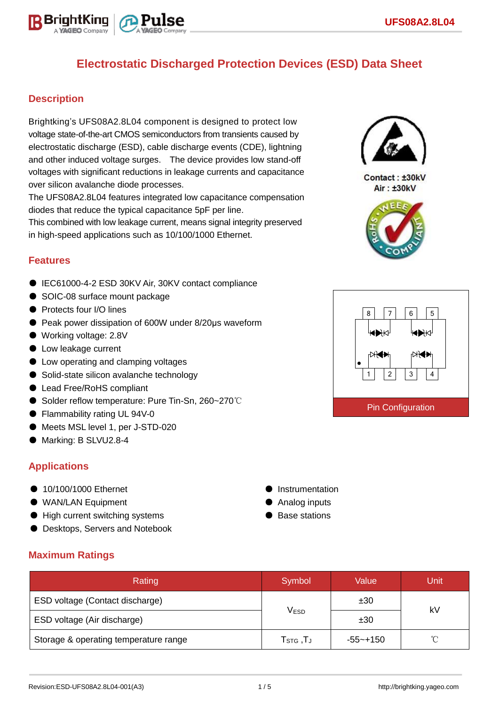

## **Description**

Brightking's UFS08A2.8L04 component is designed to protect low voltage state-of-the-art CMOS semiconductors from transients caused by electrostatic discharge (ESD), cable discharge events (CDE), lightning and other induced voltage surges. The device provides low stand-off voltages with significant reductions in leakage currents and capacitance over silicon avalanche diode processes.

The UFS08A2.8L04 features integrated low capacitance compensation diodes that reduce the typical capacitance 5pF per line.

This combined with low leakage current, means signal integrity preserved in high-speed applications such as 10/100/1000 Ethernet.

## **Features**

- IEC61000-4-2 ESD 30KV Air, 30KV contact compliance
- SOIC-08 surface mount package
- Protects four I/O lines
- Peak power dissipation of 600W under 8/20μs waveform
- Working voltage: 2.8V
- Low leakage current
- Low operating and clamping voltages
- Solid-state silicon avalanche technology
- Lead Free/RoHS compliant
- Solder reflow temperature: Pure Tin-Sn, 260~270℃
- Flammability rating UL 94V-0
- Meets MSL level 1, per J-STD-020
- Marking: B SLVU2.8-4

## **Applications**

- 10/100/1000 Ethernet
- WAN/LAN Equipment
- High current switching systems
- **Desktops, Servers and Notebook**
- **•** Instrumentation
- Analog inputs
- Base stations

| <b>Maximum Ratings</b> |  |
|------------------------|--|
|                        |  |

| Rating                                | Symbol                             | Value       | <b>Unit</b> |  |
|---------------------------------------|------------------------------------|-------------|-------------|--|
| ESD voltage (Contact discharge)       |                                    | ±30         | kV          |  |
| ESD voltage (Air discharge)           | <b>VESD</b>                        | ±30         |             |  |
| Storage & operating temperature range | $T_{\scriptstyle\textrm{STG}}$ ,TJ | $-55$ ~+150 | $^{\circ}$  |  |



Contact: ±30kV Air: ±30kV



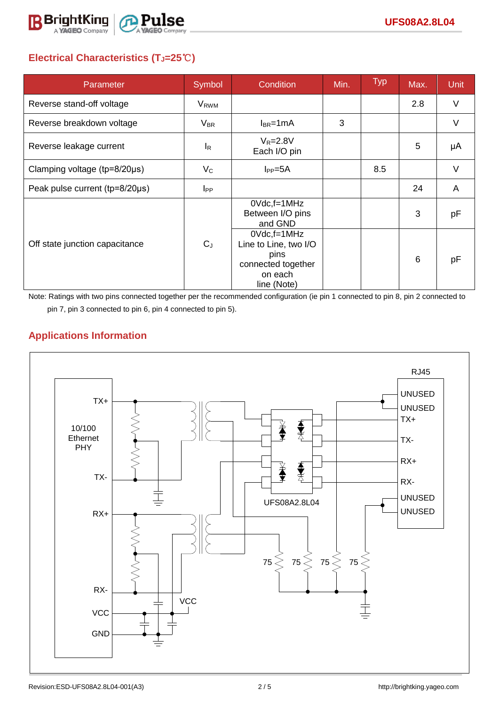

# **Electrical Characteristics (TJ=25**℃**)**

| Parameter                      | Symbol                    | Condition                                                                                           | Min. | <b>Typ</b> | Max. | <b>Unit</b> |
|--------------------------------|---------------------------|-----------------------------------------------------------------------------------------------------|------|------------|------|-------------|
| Reverse stand-off voltage      | <b>V</b> <sub>RWM</sub>   |                                                                                                     |      |            | 2.8  | V           |
| Reverse breakdown voltage      | $V_{BR}$                  | $I_{BR}$ =1mA                                                                                       | 3    |            |      | $\vee$      |
| Reverse leakage current        | $\mathsf{I}_{\mathsf{R}}$ | $V_R = 2.8V$<br>Each I/O pin                                                                        |      |            | 5    | μA          |
| Clamping voltage (tp=8/20µs)   | $V_{\rm C}$               | $I_{PP}=5A$                                                                                         |      | 8.5        |      | V           |
| Peak pulse current (tp=8/20µs) | <b>IPP</b>                |                                                                                                     |      |            | 24   | A           |
| Off state junction capacitance | $C_J$                     | $0Vdc, f=1MHz$<br>Between I/O pins<br>and GND                                                       |      |            | 3    | рF          |
|                                |                           | $0Vdc$ , f=1 $MHz$<br>Line to Line, two I/O<br>pins<br>connected together<br>on each<br>line (Note) |      |            | 6    | pF          |

Note: Ratings with two pins connected together per the recommended configuration (ie pin 1 connected to pin 8, pin 2 connected to pin 7, pin 3 connected to pin 6, pin 4 connected to pin 5).

# **Applications Information**

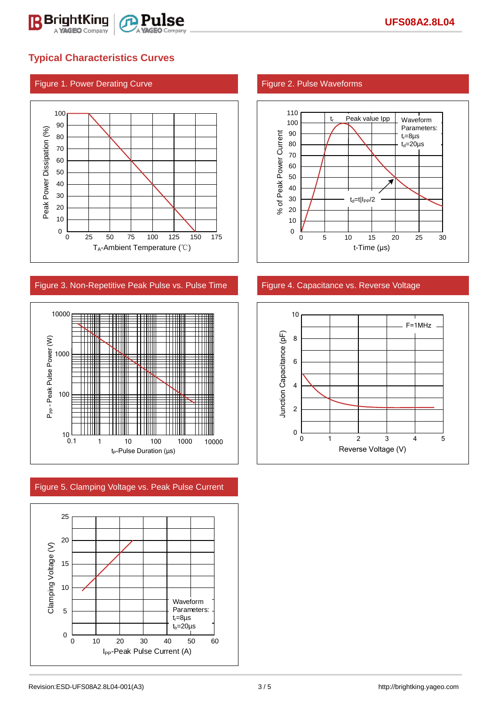

### Figure 1. Power Derating Curve Figure 2. Pulse Waveforms



### Figure 3. Non-Repetitive Peak Pulse vs. Pulse Time Figure 4. Capacitance vs. Reverse Voltage



Figure 5. Clamping Voltage vs. Peak Pulse Current





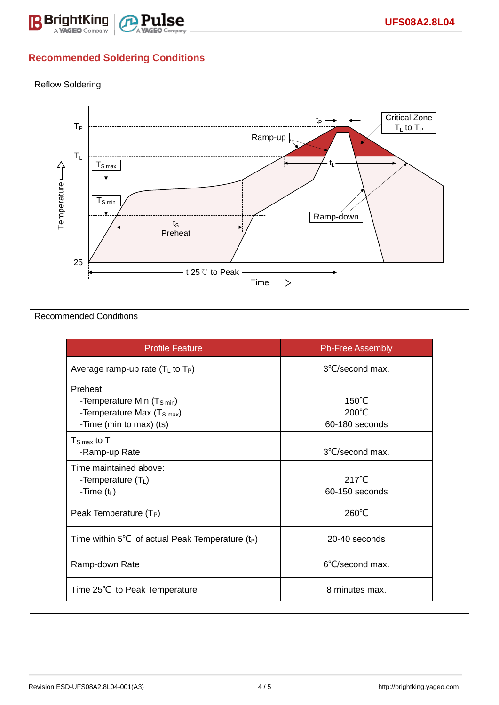

## **Recommended Soldering Conditions**